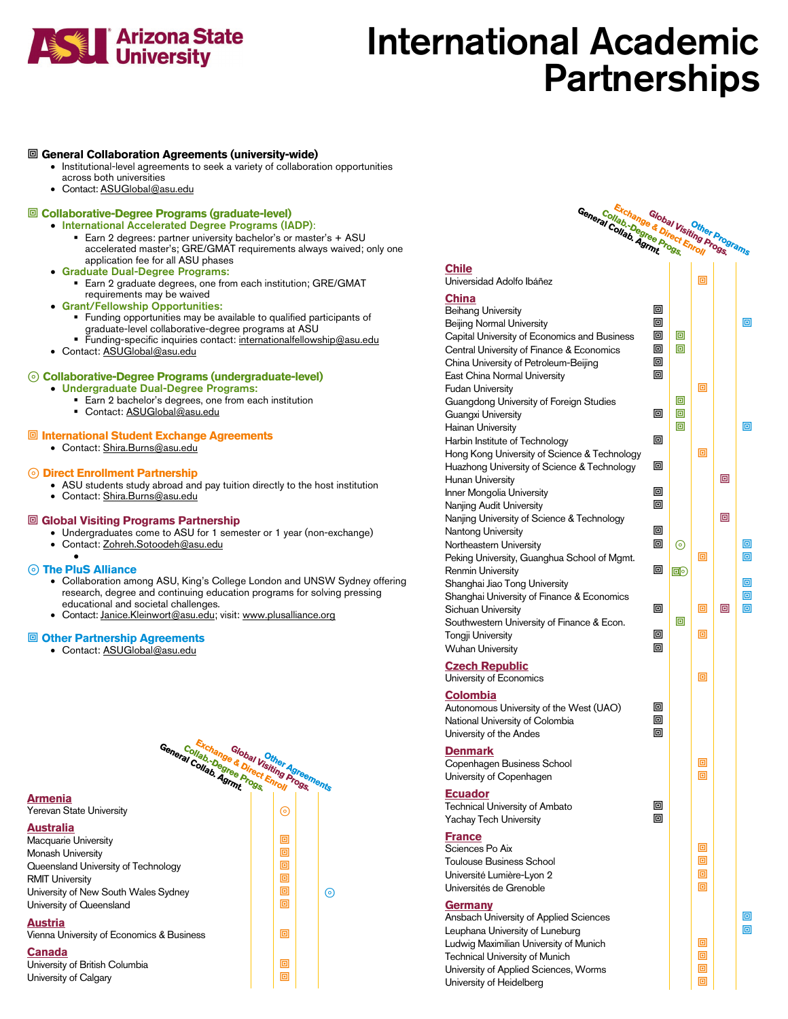

# International Academic **Partnerships**

### **General Collaboration Agreements (university-wide)**

- Institutional-level agreements to seek a variety of collaboration opportunities
- across both universities
- Contact: ASUGlobal@asu.edu

### **Collaborative-Degree Programs (graduate-level)**

- International Accelerated Degree Programs (IADP): **Earn 2 degrees: partner university bachelor's or master's + ASU** accelerated master's; GRE/GMAT requirements always waived; only one application fee for all ASU phases
- Graduate Dual-Degree Programs:
	- **Earn 2 graduate degrees, one from each institution; GRE/GMAT** requirements may be waived
- Grant/Fellowship Opportunities:
	- **Funding opportunities may be available to qualified participants of** graduate-level collaborative-degree programs at ASU
	- Funding-specific inquiries contact[: internationalfellowship@asu.edu](mailto:internationalfellowship@asu.edu)
- Contact[: ASUGlobal@asu.edu](mailto:ASUGlobal@asu.edu)

### ⊚ **Collaborative-Degree Programs (undergraduate-level)**

- Undergraduate Dual-Degree Programs:
	- Earn 2 bachelor's degrees, one from each institution
	- Contact: ASUGlobal@asu.edu

### **International Student Exchange Agreements**

• Contact: Shira.Burns@asu.edu

- <sup>⊚</sup> **Direct Enrollment Partnership** ASU students study abroad and pay tuition directly to the host institution
	- Contact: Shira.Burns@asu.edu

### **Global Visiting Programs Partnership**

- Undergraduates come to ASU for 1 semester or 1 year (non-exchange)
- Contact: Zohreh.Sotoodeh@asu.edu •

- <sup>⊚</sup> **The PluS Alliance** Collaboration among ASU, King's College London and UNSW Sydney offering research, degree and continuing education programs for solving pressing educational and societal challenges.
	- Contact: Janice.Kleinwort@asu.edu; visit: www.plusalliance.org

### **Other Partnership Agreements**

• Contact[: ASUGlobal@asu.edu](mailto:ASUGlobal@asu.edu)



| Exchange & Direct Enroll<br>General Collab Agrmt<br>Collab Degree Progs                                                                                                                                                                             |                            | Global Visiting Progs |        | Other Programs |        |
|-----------------------------------------------------------------------------------------------------------------------------------------------------------------------------------------------------------------------------------------------------|----------------------------|-----------------------|--------|----------------|--------|
| <b>Chile</b><br>Universidad Adolfo Ibáñez                                                                                                                                                                                                           |                            |                       | 回      |                |        |
| <b>China</b><br><b>Beihang University</b><br><b>Beijing Normal University</b><br>Capital University of Economics and Business<br>Central University of Finance & Economics<br>China University of Petroleum-Beijing<br>East China Normal University | 回<br>回<br>回<br>回<br>回<br>回 | 回<br>回                |        |                | 回      |
| <b>Fudan University</b><br>Guangdong University of Foreign Studies<br>Guangxi University<br><b>Hainan University</b>                                                                                                                                | 回                          | 回<br>回<br>回           | 回      |                | 回      |
| Harbin Institute of Technology<br>Hong Kong University of Science & Technology<br>Huazhong University of Science & Technology                                                                                                                       | 回<br>回                     |                       | 回      |                |        |
| <b>Hunan University</b><br>Inner Mongolia University<br>Nanjing Audit University                                                                                                                                                                    | 回<br>回                     |                       |        | 回              |        |
| Nanjing University of Science & Technology<br>Nantong University<br>Northeastern University                                                                                                                                                         | 回<br>回                     | ⊚                     | 回      | 回              | 回<br>回 |
| Peking University, Guanghua School of Mgmt.<br><b>Renmin University</b><br>Shanghai Jiao Tong University<br>Shanghai University of Finance & Economics                                                                                              | 回                          | $\text{E}\text{O}$    |        |                | 回<br>回 |
| Sichuan University<br>Southwestern University of Finance & Econ.<br><b>Tongji University</b>                                                                                                                                                        | 回<br>回                     | 回                     | 回<br>回 | 回              | 回      |
| <b>Wuhan University</b><br>Czech Depublic                                                                                                                                                                                                           | 回                          |                       |        |                |        |

# **Czech Republic**

| <b>Colombia</b>                         |   |
|-----------------------------------------|---|
| Autonomous University of the West (UAO) | 回 |
| National University of Colombia         | 回 |
| University of the Andes                 | 回 |

### **Denmark**

Copenhagen Business School **business** School University of Copenhagen **No. 7 (1)** 回

### **Ecuador**

Technical University of Ambato **回** Yachay Tech University **Interval Department Interval Interval Interval Interval Interval Interval Interval Interval Interval Interval Interval Interval Interval Interval Interval Interval Interval Interval Interval In** 

## **France**

Sciences Po Aix Toulouse Business School<br>Liniversité Lumière-Lyon 2 Université Lumière-Lyon 2 Universités de Grenoble

### **Germany**

Ansbach University of Applied Sciences Leuphana University of Luneburg<br>Ludwig Maximilian University of Munich Ludwig Maximilian University of Munich Technical University of Munich<br>
University of Applied Sciences Worms University of Applied Sciences, Worms University of Heidelberg

University of Economics **Definition Definition Definition Definition Definition Definition Definition Definition Definition Definition Definition Definition Definition Definition Definition D**